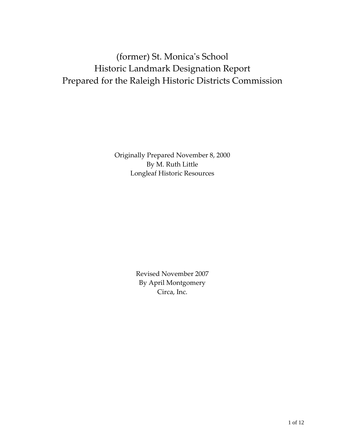# (former) St. Monicaʹs School Historic Landmark Designation Report Prepared for the Raleigh Historic Districts Commission

Originally Prepared November 8, 2000 By M. Ruth Little Longleaf Historic Resources

> Revised November 2007 By April Montgomery Circa, Inc.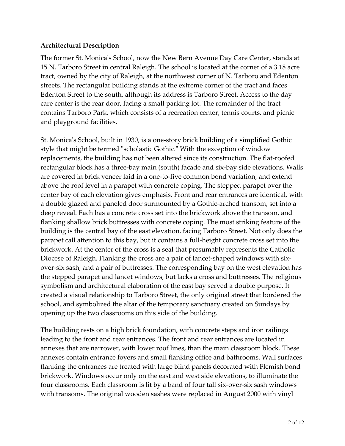### **Architectural Description**

The former St. Monicaʹs School, now the New Bern Avenue Day Care Center, stands at 15 N. Tarboro Street in central Raleigh. The school is located at the corner of a 3.18 acre tract, owned by the city of Raleigh, at the northwest corner of N. Tarboro and Edenton streets. The rectangular building stands at the extreme corner of the tract and faces Edenton Street to the south, although its address is Tarboro Street. Access to the day care center is the rear door, facing a small parking lot. The remainder of the tract contains Tarboro Park, which consists of a recreation center, tennis courts, and picnic and playground facilities.

St. Monica's School, built in 1930, is a one-story brick building of a simplified Gothic style that might be termed "scholastic Gothic." With the exception of window replacements, the building has not been altered since its construction. The flat-roofed rectangular block has a three‐bay main (south) facade and six‐bay side elevations. Walls are covered in brick veneer laid in a one‐to‐five common bond variation, and extend above the roof level in a parapet with concrete coping. The stepped parapet over the center bay of each elevation gives emphasis. Front and rear entrances are identical, with a double glazed and paneled door surmounted by a Gothic‐arched transom, set into a deep reveal. Each has a concrete cross set into the brickwork above the transom, and flanking shallow brick buttresses with concrete coping. The most striking feature of the building is the central bay of the east elevation, facing Tarboro Street. Not only does the parapet call attention to this bay, but it contains a full‐height concrete cross set into the brickwork. At the center of the cross is a seal that presumably represents the Catholic Diocese of Raleigh. Flanking the cross are a pair of lancet-shaped windows with sixover‐six sash, and a pair of buttresses. The corresponding bay on the west elevation has the stepped parapet and lancet windows, but lacks a cross and buttresses. The religious symbolism and architectural elaboration of the east bay served a double purpose. It created a visual relationship to Tarboro Street, the only original street that bordered the school, and symbolized the altar of the temporary sanctuary created on Sundays by opening up the two classrooms on this side of the building.

The building rests on a high brick foundation, with concrete steps and iron railings leading to the front and rear entrances. The front and rear entrances are located in annexes that are narrower, with lower roof lines, than the main classroom block. These annexes contain entrance foyers and small flanking office and bathrooms. Wall surfaces flanking the entrances are treated with large blind panels decorated with Flemish bond brickwork. Windows occur only on the east and west side elevations, to illuminate the four classrooms. Each classroom is lit by a band of four tall six‐over‐six sash windows with transoms. The original wooden sashes were replaced in August 2000 with vinyl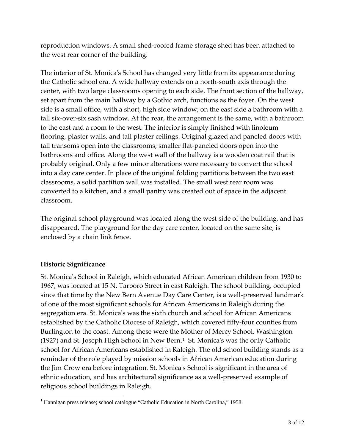reproduction windows. A small shed‐roofed frame storage shed has been attached to the west rear corner of the building.

The interior of St. Monica's School has changed very little from its appearance during the Catholic school era. A wide hallway extends on a north‐south axis through the center, with two large classrooms opening to each side. The front section of the hallway, set apart from the main hallway by a Gothic arch, functions as the foyer. On the west side is a small office, with a short, high side window; on the east side a bathroom with a tall six‐over‐six sash window. At the rear, the arrangement is the same, with a bathroom to the east and a room to the west. The interior is simply finished with linoleum flooring, plaster walls, and tall plaster ceilings. Original glazed and paneled doors with tall transoms open into the classrooms; smaller flat‐paneled doors open into the bathrooms and office. Along the west wall of the hallway is a wooden coat rail that is probably original. Only a few minor alterations were necessary to convert the school into a day care center. In place of the original folding partitions between the two east classrooms, a solid partition wall was installed. The small west rear room was converted to a kitchen, and a small pantry was created out of space in the adjacent classroom.

The original school playground was located along the west side of the building, and has disappeared. The playground for the day care center, located on the same site, is enclosed by a chain link fence.

## **Historic Significance**

 $\overline{a}$ 

St. Monicaʹs School in Raleigh, which educated African American children from 1930 to 1967, was located at 15 N. Tarboro Street in east Raleigh. The school building, occupied since that time by the New Bern Avenue Day Care Center, is a well-preserved landmark of one of the most significant schools for African Americans in Raleigh during the segregation era. St. Monicaʹs was the sixth church and school for African Americans established by the Catholic Diocese of Raleigh, which covered fifty‐four counties from Burlington to the coast. Among these were the Mother of Mercy School, Washington ([1](#page-2-0)927) and St. Joseph High School in New Bern.<sup>1</sup> St. Monica's was the only Catholic school for African Americans established in Raleigh. The old school building stands as a reminder of the role played by mission schools in African American education during the Jim Crow era before integration. St. Monicaʹs School is significant in the area of ethnic education, and has architectural significance as a well‐preserved example of religious school buildings in Raleigh.

<span id="page-2-0"></span><sup>&</sup>lt;sup>1</sup> Hannigan press release; school catalogue "Catholic Education in North Carolina," 1958.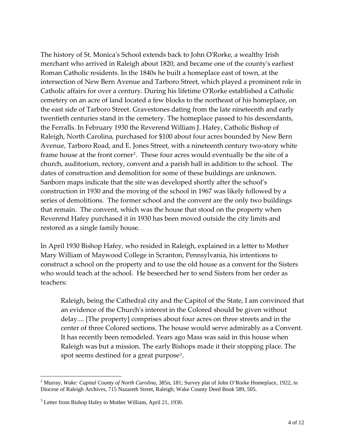The history of St. Monicaʹs School extends back to John OʹRorke, a wealthy Irish merchant who arrived in Raleigh about 1820, and became one of the countyʹs earliest Roman Catholic residents. In the 1840s he built a homeplace east of town, at the intersection of New Bern Avenue and Tarboro Street, which played a prominent role in Catholic affairs for over a century. During his lifetime OʹRorke established a Catholic cemetery on an acre of land located a few blocks to the northeast of his homeplace, on the east side of Tarboro Street. Gravestones dating from the late nineteenth and early twentieth centuries stand in the cemetery. The homeplace passed to his descendants, the Ferralls. In February 1930 the Reverend William J. Hafey, Catholic Bishop of Raleigh, North Carolina, purchased for \$100 about four acres bounded by New Bern Avenue, Tarboro Road, and E. Jones Street, with a nineteenth century two‐story white frame house at the front corner<sup>[2](#page-3-0)</sup>. These four acres would eventually be the site of a church, auditorium, rectory, convent and a parish hall in addition to the school. The dates of construction and demolition for some of these buildings are unknown. Sanborn maps indicate that the site was developed shortly after the school's construction in 1930 and the moving of the school in 1967 was likely followed by a series of demolitions. The former school and the convent are the only two buildings that remain. The convent, which was the house that stood on the property when Reverend Hafey purchased it in 1930 has been moved outside the city limits and restored as a single family house.

In April 1930 Bishop Hafey, who resided in Raleigh, explained in a letter to Mother Mary William of Maywood College in Scranton, Pennsylvania, his intentions to construct a school on the property and to use the old house as a convent for the Sisters who would teach at the school. He beseeched her to send Sisters from her order as teachers:

Raleigh, being the Cathedral city and the Capitol of the State, I am convinced that an evidence of the Churchʹs interest in the Colored should be given without delay.... [The property] comprises about four acres on three streets and in the center of three Colored sections. The house would serve admirably as a Convent. It has recently been remodeled. Years ago Mass was said in this house when Raleigh was but a mission. The early Bishops made it their stopping place. The spot seems destined for a great purpose<sup>[3](#page-3-1)</sup>.

<span id="page-3-0"></span><sup>2</sup> Murray, *Wake: Capital County of North Carolina,* 385n, 181; Survey plat of John O'Rorke Homeplace, 1922, in Diocese of Raleigh Archives, 715 Nazareth Street, Raleigh; Wake County Deed Book 589, 505.

<span id="page-3-1"></span><sup>&</sup>lt;sup>3</sup> Letter from Bishop Hafey to Mother William, April 21, 1930.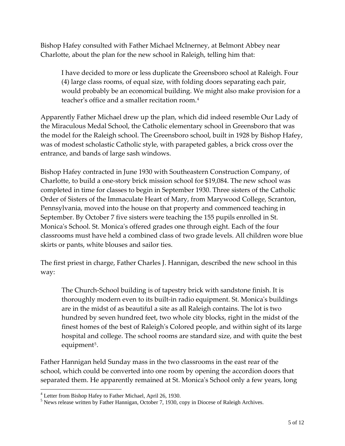Bishop Hafey consulted with Father Michael McInerney, at Belmont Abbey near Charlotte, about the plan for the new school in Raleigh, telling him that:

I have decided to more or less duplicate the Greensboro school at Raleigh. Four (4) large class rooms, of equal size, with folding doors separating each pair, would probably be an economical building. We might also make provision for a teacher's office and a smaller recitation room.<sup>[4](#page-4-0)</sup>

Apparently Father Michael drew up the plan, which did indeed resemble Our Lady of the Miraculous Medal School, the Catholic elementary school in Greensboro that was the model for the Raleigh school. The Greensboro school, built in 1928 by Bishop Hafey, was of modest scholastic Catholic style, with parapeted gables, a brick cross over the entrance, and bands of large sash windows.

Bishop Hafey contracted in June 1930 with Southeastern Construction Company, of Charlotte, to build a one‐story brick mission school for \$19,084. The new school was completed in time for classes to begin in September 1930. Three sisters of the Catholic Order of Sisters of the Immaculate Heart of Mary, from Marywood College, Scranton, Pennsylvania, moved into the house on that property and commenced teaching in September. By October 7 five sisters were teaching the 155 pupils enrolled in St. Monicaʹs School. St. Monicaʹs offered grades one through eight. Each of the four classrooms must have held a combined class of two grade levels. All children wore blue skirts or pants, white blouses and sailor ties.

The first priest in charge, Father Charles J. Hannigan, described the new school in this way:

The Church‐School building is of tapestry brick with sandstone finish. It is thoroughly modern even to its built‐in radio equipment. St. Monicaʹs buildings are in the midst of as beautiful a site as all Raleigh contains. The lot is two hundred by seven hundred feet, two whole city blocks, right in the midst of the finest homes of the best of Raleighʹs Colored people, and within sight of its large hospital and college. The school rooms are standard size, and with quite the best equipment<sup>[5](#page-4-1)</sup>.

Father Hannigan held Sunday mass in the two classrooms in the east rear of the school, which could be converted into one room by opening the accordion doors that separated them. He apparently remained at St. Monica's School only a few years, long

<span id="page-4-0"></span><sup>&</sup>lt;sup>4</sup> Letter from Bishop Hafey to Father Michael, April 26, 1930.

<span id="page-4-1"></span><sup>&</sup>lt;sup>5</sup> News release written by Father Hannigan, October 7, 1930, copy in Diocese of Raleigh Archives.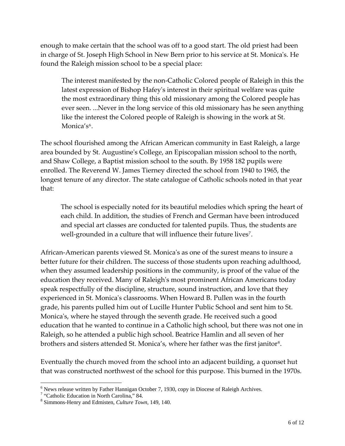enough to make certain that the school was off to a good start. The old priest had been in charge of St. Joseph High School in New Bern prior to his service at St. Monica's. He found the Raleigh mission school to be a special place:

The interest manifested by the non‐Catholic Colored people of Raleigh in this the latest expression of Bishop Hafeyʹs interest in their spiritual welfare was quite the most extraordinary thing this old missionary among the Colored people has ever seen. ...Never in the long service of this old missionary has he seen anything like the interest the Colored people of Raleigh is showing in the work at St. Monica's<sup>[6](#page-5-0)</sup>.

The school flourished among the African American community in East Raleigh, a large area bounded by St. Augustineʹs College, an Episcopalian mission school to the north, and Shaw College, a Baptist mission school to the south. By 1958 182 pupils were enrolled. The Reverend W. James Tierney directed the school from 1940 to 1965, the longest tenure of any director. The state catalogue of Catholic schools noted in that year that:

The school is especially noted for its beautiful melodies which spring the heart of each child. In addition, the studies of French and German have been introduced and special art classes are conducted for talented pupils. Thus, the students are well-grounded in a culture that will influence their future lives<sup>[7](#page-5-1)</sup>.

African–American parents viewed St. Monica's as one of the surest means to insure a better future for their children. The success of those students upon reaching adulthood, when they assumed leadership positions in the community, is proof of the value of the education they received. Many of Raleighʹs most prominent African Americans today speak respectfully of the discipline, structure, sound instruction, and love that they experienced in St. Monica's classrooms. When Howard B. Pullen was in the fourth grade, his parents pulled him out of Lucille Hunter Public School and sent him to St. Monicaʹs, where he stayed through the seventh grade. He received such a good education that he wanted to continue in a Catholic high school, but there was not one in Raleigh, so he attended a public high school. Beatrice Hamlin and all seven of her brothers and sisters attended St. Monica's, where her father was the first janitor<sup>[8](#page-5-2)</sup>.

Eventually the church moved from the school into an adjacent building, a quonset hut that was constructed northwest of the school for this purpose. This burned in the 1970s.

<sup>&</sup>lt;sup>6</sup> News release written by Father Hannigan October 7, 1930, copy in Diocese of Raleigh Archives.<br><sup>7</sup> "Cetholia Education in North Ceroline." 84

<span id="page-5-1"></span><span id="page-5-0"></span><sup>&</sup>lt;sup>7</sup> "Catholic Education in North Carolina," 84.

<span id="page-5-2"></span><sup>8</sup> Simmons-Henry and Edmisten, *Culture Town*, 149, 140.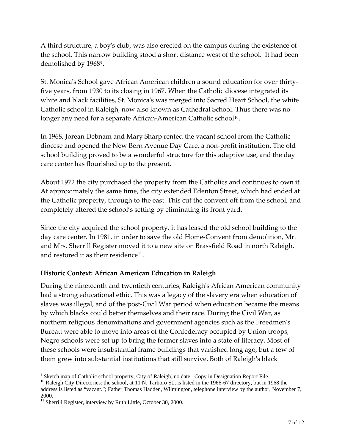A third structure, a boyʹs club, was also erected on the campus during the existence of the school. This narrow building stood a short distance west of the school. It had been demolished by 1[9](#page-6-0)68<sup>9</sup>.

St. Monicaʹs School gave African American children a sound education for over thirty‐ five years, from 1930 to its closing in 1967. When the Catholic diocese integrated its white and black facilities, St. Monica's was merged into Sacred Heart School, the white Catholic school in Raleigh, now also known as Cathedral School. Thus there was no longer any need for a separate African-American Catholic school<sup>[10](#page-6-1)</sup>.

In 1968, Jorean Debnam and Mary Sharp rented the vacant school from the Catholic diocese and opened the New Bern Avenue Day Care, a non‐profit institution. The old school building proved to be a wonderful structure for this adaptive use, and the day care center has flourished up to the present.

About 1972 the city purchased the property from the Catholics and continues to own it. At approximately the same time, the city extended Edenton Street, which had ended at the Catholic property, through to the east. This cut the convent off from the school, and completely altered the school's setting by eliminating its front yard.

Since the city acquired the school property, it has leased the old school building to the day care center. In 1981, in order to save the old Home‐Convent from demolition, Mr. and Mrs. Sherrill Register moved it to a new site on Brassfield Road in north Raleigh, and restored it as their residence<sup>[11](#page-6-2)</sup>.

## **Historic Context: African American Education in Raleigh**

During the nineteenth and twentieth centuries, Raleigh's African American community had a strong educational ethic. This was a legacy of the slavery era when education of slaves was illegal, and of the post-Civil War period when education became the means by which blacks could better themselves and their race. During the Civil War, as northern religious denominations and government agencies such as the Freedmenʹs Bureau were able to move into areas of the Confederacy occupied by Union troops, Negro schools were set up to bring the former slaves into a state of literacy. Most of these schools were insubstantial frame buildings that vanished long ago, but a few of them grew into substantial institutions that still survive. Both of Raleighʹs black

<span id="page-6-1"></span> $10$  Raleigh City Directories: the school, at 11 N. Tarboro St., is listed in the 1966-67 directory, but in 1968 the address is listed as "vacant."; Father Thomas Hadden, Wilmington, telephone interview by the author, November 7, 2000.

<span id="page-6-0"></span><sup>&</sup>lt;sup>9</sup> Sketch map of Catholic school property, City of Raleigh, no date. Copy in Designation Report File.

<span id="page-6-2"></span><sup>&</sup>lt;sup>11</sup> Sherrill Register, interview by Ruth Little, October 30, 2000.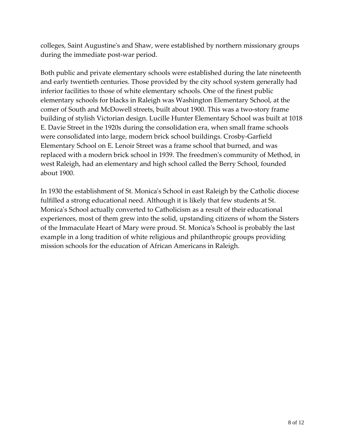colleges, Saint Augustineʹs and Shaw, were established by northern missionary groups during the immediate post‐war period.

Both public and private elementary schools were established during the late nineteenth and early twentieth centuries. Those provided by the city school system generally had inferior facilities to those of white elementary schools. One of the finest public elementary schools for blacks in Raleigh was Washington Elementary School, at the comer of South and McDowell streets, built about 1900. This was a two-story frame building of stylish Victorian design. Lucille Hunter Elementary School was built at 1018 E. Davie Street in the 1920s during the consolidation era, when small frame schools were consolidated into large, modern brick school buildings. Crosby‐Garfield Elementary School on E. Lenoir Street was a frame school that burned, and was replaced with a modern brick school in 1939. The freedmenʹs community of Method, in west Raleigh, had an elementary and high school called the Berry School, founded about 1900.

In 1930 the establishment of St. Monica's School in east Raleigh by the Catholic diocese fulfilled a strong educational need. Although it is likely that few students at St. Monica's School actually converted to Catholicism as a result of their educational experiences, most of them grew into the solid, upstanding citizens of whom the Sisters of the Immaculate Heart of Mary were proud. St. Monicaʹs School is probably the last example in a long tradition of white religious and philanthropic groups providing mission schools for the education of African Americans in Raleigh.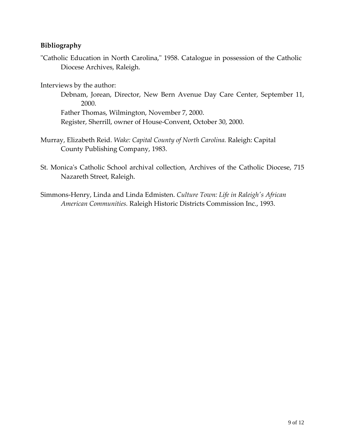## **Bibliography**

"Catholic Education in North Carolina," 1958. Catalogue in possession of the Catholic Diocese Archives, Raleigh.

Interviews by the author:

Debnam, Jorean, Director, New Bern Avenue Day Care Center, September 11, 2000.

Father Thomas, Wilmington, November 7, 2000. Register, Sherrill, owner of House‐Convent, October 30, 2000.

- Murray, Elizabeth Reid. *Wake: Capital County of North Carolina.* Raleigh: Capital County Publishing Company, 1983.
- St. Monica's Catholic School archival collection, Archives of the Catholic Diocese, 715 Nazareth Street, Raleigh.
- Simmons‐Henry, Linda and Linda Edmisten. *Culture Town: Life in Raleighʹs African American Communities.* Raleigh Historic Districts Commission Inc., 1993.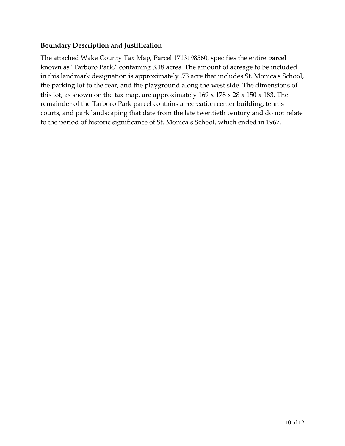### **Boundary Description and Justification**

The attached Wake County Tax Map, Parcel 1713198560, specifies the entire parcel known as "Tarboro Park," containing 3.18 acres. The amount of acreage to be included in this landmark designation is approximately .73 acre that includes St. Monica's School, the parking lot to the rear, and the playground along the west side. The dimensions of this lot, as shown on the tax map, are approximately  $169 \times 178 \times 28 \times 150 \times 183$ . The remainder of the Tarboro Park parcel contains a recreation center building, tennis courts, and park landscaping that date from the late twentieth century and do not relate to the period of historic significance of St. Monica's School, which ended in 1967.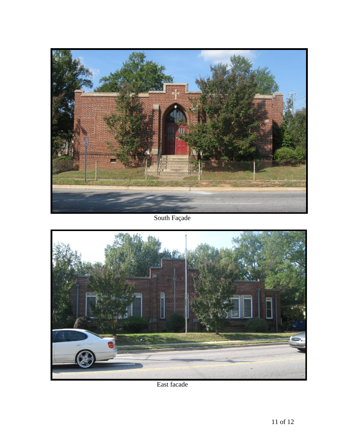

South Façade



East facade